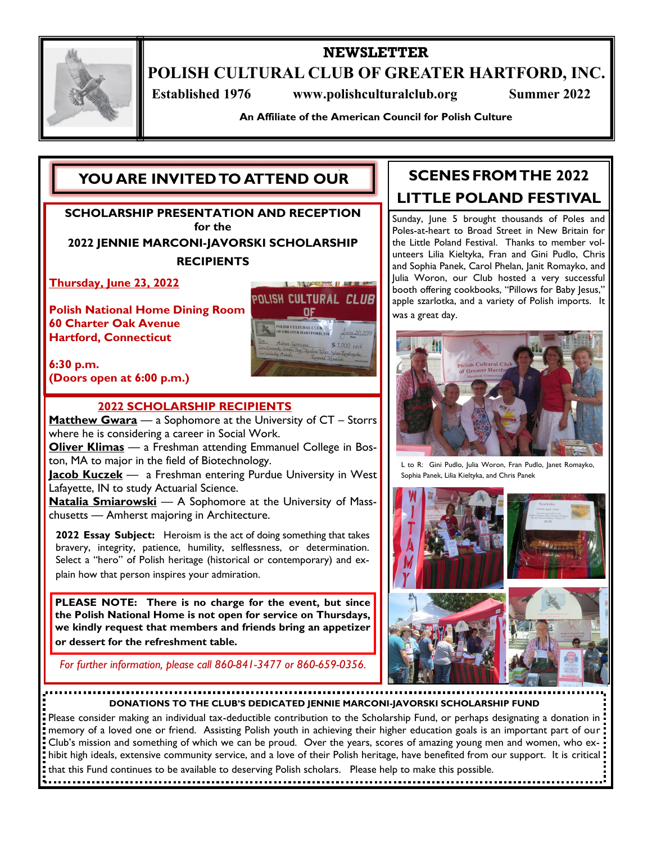

# **NEWSLETTER**

**POLISH CULTURAL CLUB OF GREATER HARTFORD, INC.**

 **Established 1976 www.polishculturalclub.org Summer 2022**

**An Affiliate of the American Council for Polish Culture**

# **YOU ARE INVITED TO ATTEND OUR**

**SCHOLARSHIP PRESENTATION AND RECEPTION for the 2022 JENNIE MARCONI-JAVORSKI SCHOLARSHIP RECIPIENTS**

**Thursday, June 23, 2022**

**Polish National Home Dining Room 60 Charter Oak Avenue Hartford, Connecticut**

POLISH CULTURAL CLUB OF **CULTURAL CLUB**<br>ATER HARTFORD \$ 7,000 each

**6:30 p.m. (Doors open at 6:00 p.m.)** 

### **2022 SCHOLARSHIP RECIPIENTS**

**Matthew Gwara** — a Sophomore at the University of CT – Storrs where he is considering a career in Social Work.

**Oliver Klimas** — a Freshman attending Emmanuel College in Boston, MA to major in the field of Biotechnology.

**Jacob Kuczek** — a Freshman entering Purdue University in West Lafayette, IN to study Actuarial Science.

**Natalia Smiarowski** — A Sophomore at the University of Masschusetts — Amherst majoring in Architecture.

**2022 Essay Subject:** Heroism is the act of doing something that takes bravery, integrity, patience, humility, selflessness, or determination. Select a "hero" of Polish heritage (historical or contemporary) and explain how that person inspires your admiration.

**PLEASE NOTE: There is no charge for the event, but since the Polish National Home is not open for service on Thursdays, we kindly request that members and friends bring an appetizer or dessert for the refreshment table.**

*For further information, please call 860-841-3477 or 860-659-0356.*

# **SCENES FROM THE 2022 LITTLE POLAND FESTIVAL**

Sunday, June 5 brought thousands of Poles and Poles-at-heart to Broad Street in New Britain for the Little Poland Festival. Thanks to member volunteers Lilia Kieltyka, Fran and Gini Pudlo, Chris and Sophia Panek, Carol Phelan, Janit Romayko, and Julia Woron, our Club hosted a very successful booth offering cookbooks, "Pillows for Baby Jesus," apple szarlotka, and a variety of Polish imports. It was a great day.



L to R: Gini Pudlo, Julia Woron, Fran Pudlo, Janet Romayko, Sophia Panek, Lilia Kieltyka, and Chris Panek



**DONATIONS TO THE CLUB'S DEDICATED JENNIE MARCONI-JAVORSKI SCHOLARSHIP FUND**

Please consider making an individual tax-deductible contribution to the Scholarship Fund, or perhaps designating a donation in memory of a loved one or friend. Assisting Polish youth in achieving their higher education goals is an important part of our Club's mission and something of which we can be proud. Over the years, scores of amazing young men and women, who exhibit high ideals, extensive community service, and a love of their Polish heritage, have benefited from our support. It is critical that this Fund continues to be available to deserving Polish scholars. Please help to make this possible.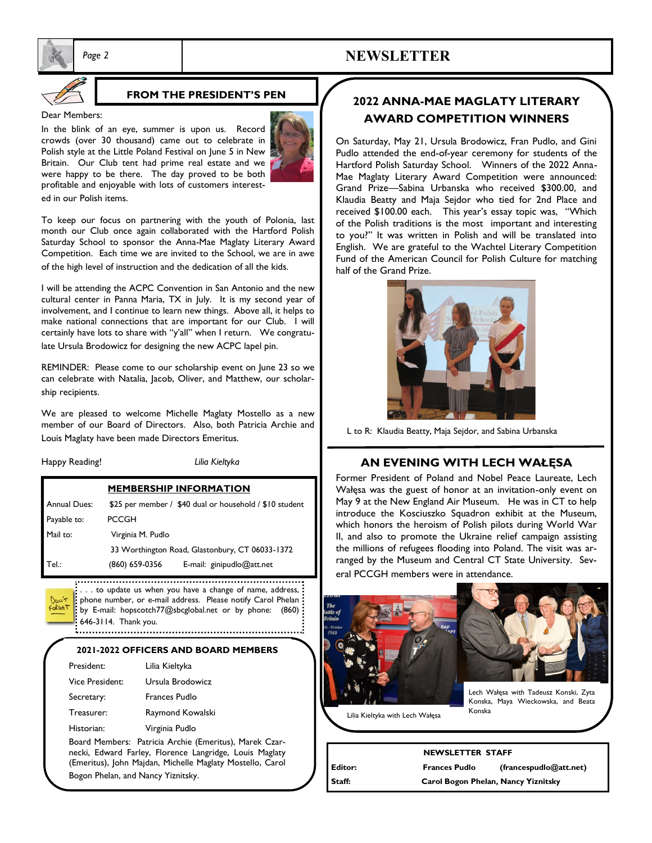

### **FROM THE PRESIDENT'S PEN**

#### Dear Members:

In the blink of an eye, summer is upon us. Record crowds (over 30 thousand) came out to celebrate in Polish style at the Little Poland Festival on June 5 in New Britain. Our Club tent had prime real estate and we were happy to be there. The day proved to be both profitable and enjoyable with lots of customers interested in our Polish items.



 *Page 2* **NEWSLETTER**

To keep our focus on partnering with the youth of Polonia, last month our Club once again collaborated with the Hartford Polish Saturday School to sponsor the Anna-Mae Maglaty Literary Award Competition. Each time we are invited to the School, we are in awe of the high level of instruction and the dedication of all the kids.

I will be attending the ACPC Convention in San Antonio and the new cultural center in Panna Maria, TX in July. It is my second year of involvement, and I continue to learn new things. Above all, it helps to make national connections that are important for our Club. I will certainly have lots to share with "y'all" when I return. We congratulate Ursula Brodowicz for designing the new ACPC lapel pin.

REMINDER: Please come to our scholarship event on June 23 so we can celebrate with Natalia, Jacob, Oliver, and Matthew, our scholarship recipients.

We are pleased to welcome Michelle Maglaty Mostello as a new member of our Board of Directors. Also, both Patricia Archie and Louis Maglaty have been made Directors Emeritus.

| Happy Reading!      | Lilia Kieltyka                                  |                                                         |
|---------------------|-------------------------------------------------|---------------------------------------------------------|
|                     | <b>MEMBERSHIP INFORMATION</b>                   |                                                         |
| <b>Annual Dues:</b> |                                                 | \$25 per member / \$40 dual or household / \$10 student |
| Payable to:         | <b>PCCGH</b>                                    |                                                         |
| Mail to:            | Virginia M. Pudlo                               |                                                         |
|                     | 33 Worthington Road, Glastonbury, CT 06033-1372 |                                                         |
| Tel.:               | (860) 659-0356                                  | E-mail: ginipudlo@att.net                               |

ForGET

. . . to update us when you have a change of name, address, phone number, or e-mail address. Please notify Carol Phelan by E-mail: hopscotch77@sbcglobal.net or by phone: (860) 646-3114. Thank you. 

#### **2021-2022 OFFICERS AND BOARD MEMBERS**

| President:      | Lilia Kieltyka                                 |  |
|-----------------|------------------------------------------------|--|
| Vice President: | Ursula Brodowicz                               |  |
| Secretary:      | Frances Pudlo                                  |  |
| Treasurer:      | Raymond Kowalski                               |  |
| Historian:      | Virginia Pudlo                                 |  |
|                 | Board Members: Patricia Archie (Emeritus), Mar |  |

rek Czarnecki, Edward Farley, Florence Langridge, Louis Maglaty (Emeritus), John Majdan, Michelle Maglaty Mostello, Carol Bogon Phelan, and Nancy Yiznitsky.

# **2022 ANNA-MAE MAGLATY LITERARY AWARD COMPETITION WINNERS**

On Saturday, May 21, Ursula Brodowicz, Fran Pudlo, and Gini Pudlo attended the end-of-year ceremony for students of the Hartford Polish Saturday School. Winners of the 2022 Anna-Mae Maglaty Literary Award Competition were announced: Grand Prize—Sabina Urbanska who received \$300.00, and Klaudia Beatty and Maja Sejdor who tied for 2nd Place and received \$100.00 each. This year's essay topic was, "Which of the Polish traditions is the most important and interesting to you?" It was written in Polish and will be translated into English. We are grateful to the Wachtel Literary Competition Fund of the American Council for Polish Culture for matching half of the Grand Prize.



L to R: Klaudia Beatty, Maja Sejdor, and Sabina Urbanska

#### **AN EVENING WITH LECH WAŁĘSA**

Former President of Poland and Nobel Peace Laureate, Lech Wałęsa was the guest of honor at an invitation-only event on May 9 at the New England Air Museum. He was in CT to help introduce the Kosciuszko Squadron exhibit at the Museum, which honors the heroism of Polish pilots during World War II, and also to promote the Ukraine relief campaign assisting the millions of refugees flooding into Poland. The visit was arranged by the Museum and Central CT State University. Several PCCGH members were in attendance.





Lech Wałęsa with Tadeusz Konski, Zyta Konska, Maya Wieckowska, and Beata Konska

Lilia Kieltyka with Lech Wałęsa

|         | <b>NEWSLETTER STAFF</b>             |                          |  |
|---------|-------------------------------------|--------------------------|--|
| Editor: | <b>Frances Pudlo</b>                | (frances pulled@att.net) |  |
| Staff:  | Carol Bogon Phelan, Nancy Yiznitsky |                          |  |

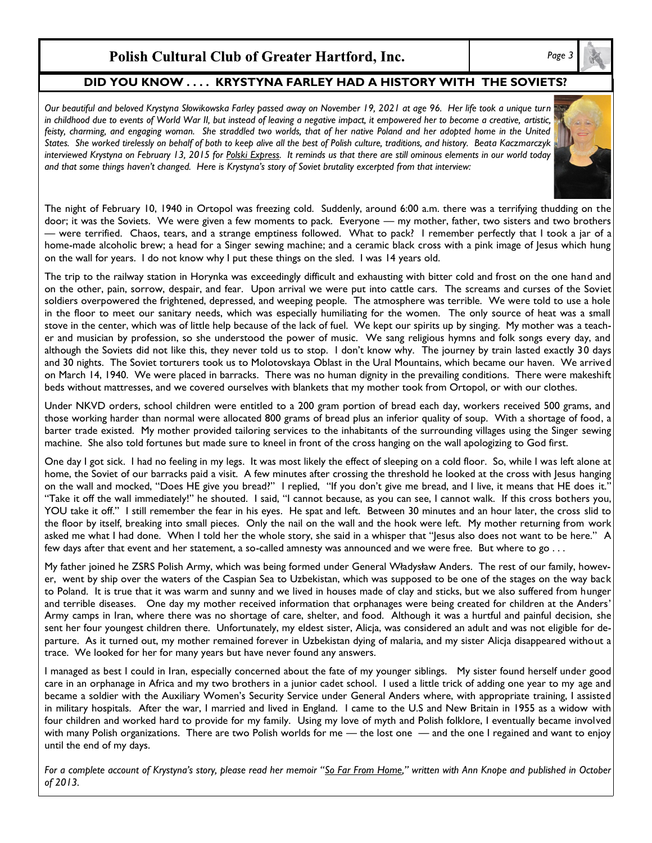# Polish Cultural Club of Greater Hartford, Inc.

### **DID YOU KNOW . . . . KRYSTYNA FARLEY HAD A HISTORY WITH THE SOVIETS?**

*Our beautiful and beloved Krystyna Słowikowska Farley passed away on November 19, 2021 at age 96. Her life took a unique turn in childhood due to events of World War II, but instead of leaving a negative impact, it empowered her to become a creative, artistic, feisty, charming, and engaging woman. She straddled two worlds, that of her native Poland and her adopted home in the United States. She worked tirelessly on behalf of both to keep alive all the best of Polish culture, traditions, and history. Beata Kaczmarczyk interviewed Krystyna on February 13, 2015 for Polski Express. It reminds us that there are still ominous elements in our world today and that some things haven't changed. Here is Krystyna's story of Soviet brutality excerpted from that interview:*



The night of February 10, 1940 in Ortopol was freezing cold. Suddenly, around 6:00 a.m. there was a terrifying thudding on the door; it was the Soviets. We were given a few moments to pack. Everyone — my mother, father, two sisters and two brothers — were terrified. Chaos, tears, and a strange emptiness followed. What to pack? I remember perfectly that I took a jar of a home-made alcoholic brew; a head for a Singer sewing machine; and a ceramic black cross with a pink image of Jesus which hung on the wall for years. I do not know why I put these things on the sled. I was 14 years old.

The trip to the railway station in Horynka was exceedingly difficult and exhausting with bitter cold and frost on the one hand and on the other, pain, sorrow, despair, and fear. Upon arrival we were put into cattle cars. The screams and curses of the Soviet soldiers overpowered the frightened, depressed, and weeping people. The atmosphere was terrible. We were told to use a hole in the floor to meet our sanitary needs, which was especially humiliating for the women. The only source of heat was a small stove in the center, which was of little help because of the lack of fuel. We kept our spirits up by singing. My mother was a teacher and musician by profession, so she understood the power of music. We sang religious hymns and folk songs every day, and although the Soviets did not like this, they never told us to stop. I don't know why. The journey by train lasted exactly 30 days and 30 nights. The Soviet torturers took us to Molotovskaya Oblast in the Ural Mountains, which became our haven. We arrived on March 14, 1940. We were placed in barracks. There was no human dignity in the prevailing conditions. There were makeshift beds without mattresses, and we covered ourselves with blankets that my mother took from Ortopol, or with our clothes.

Under NKVD orders, school children were entitled to a 200 gram portion of bread each day, workers received 500 grams, and those working harder than normal were allocated 800 grams of bread plus an inferior quality of soup. With a shortage of food, a barter trade existed. My mother provided tailoring services to the inhabitants of the surrounding villages using the Singer sewing machine. She also told fortunes but made sure to kneel in front of the cross hanging on the wall apologizing to God first.

One day I got sick. I had no feeling in my legs. It was most likely the effect of sleeping on a cold floor. So, while I was left alone at home, the Soviet of our barracks paid a visit. A few minutes after crossing the threshold he looked at the cross with Jesus hanging on the wall and mocked, "Does HE give you bread?" I replied, "If you don't give me bread, and I live, it means that HE does it." "Take it off the wall immediately!" he shouted. I said, "I cannot because, as you can see, I cannot walk. If this cross bothers you, YOU take it off." I still remember the fear in his eyes. He spat and left. Between 30 minutes and an hour later, the cross slid to the floor by itself, breaking into small pieces. Only the nail on the wall and the hook were left. My mother returning from work asked me what I had done. When I told her the whole story, she said in a whisper that "Jesus also does not want to be here." A few days after that event and her statement, a so-called amnesty was announced and we were free. But where to go . . .

My father joined he ZSRS Polish Army, which was being formed under General Władysław Anders. The rest of our family, however, went by ship over the waters of the Caspian Sea to Uzbekistan, which was supposed to be one of the stages on the way back to Poland. It is true that it was warm and sunny and we lived in houses made of clay and sticks, but we also suffered from hunger and terrible diseases. One day my mother received information that orphanages were being created for children at the Anders' Army camps in Iran, where there was no shortage of care, shelter, and food. Although it was a hurtful and painful decision, she sent her four youngest children there. Unfortunately, my eldest sister, Alicja, was considered an adult and was not eligible for departure. As it turned out, my mother remained forever in Uzbekistan dying of malaria, and my sister Alicja disappeared without a trace. We looked for her for many years but have never found any answers.

I managed as best I could in Iran, especially concerned about the fate of my younger siblings. My sister found herself under good care in an orphanage in Africa and my two brothers in a junior cadet school. I used a little trick of adding one year to my age and became a soldier with the Auxiliary Women's Security Service under General Anders where, with appropriate training, I assisted in military hospitals. After the war, I married and lived in England. I came to the U.S and New Britain in 1955 as a widow with four children and worked hard to provide for my family. Using my love of myth and Polish folklore, I eventually became involved with many Polish organizations. There are two Polish worlds for me — the lost one — and the one I regained and want to enjoy until the end of my days.

*For a complete account of Krystyna's story, please read her memoir "So Far From Home," written with Ann Knope and published in October of 2013.*

*Page 3*